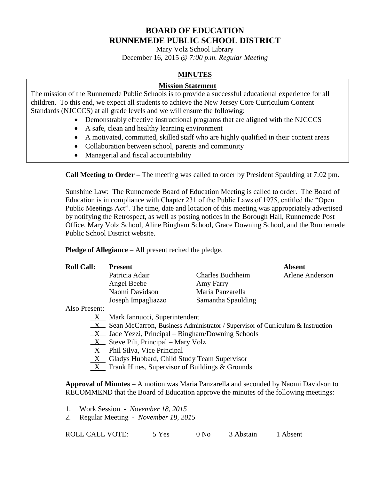## **BOARD OF EDUCATION RUNNEMEDE PUBLIC SCHOOL DISTRICT**

Mary Volz School Library December 16, 2015 *@ 7:00 p.m. Regular Meeting*

#### **MINUTES**

#### **Mission Statement**

The mission of the Runnemede Public Schools is to provide a successful educational experience for all children. To this end, we expect all students to achieve the New Jersey Core Curriculum Content Standards (NJCCCS) at all grade levels and we will ensure the following:

- Demonstrably effective instructional programs that are aligned with the NJCCCS
- A safe, clean and healthy learning environment
- A motivated, committed, skilled staff who are highly qualified in their content areas
- Collaboration between school, parents and community
- Managerial and fiscal accountability

**Call Meeting to Order –** The meeting was called to order by President Spaulding at 7:02 pm.

Sunshine Law: The Runnemede Board of Education Meeting is called to order. The Board of Education is in compliance with Chapter 231 of the Public Laws of 1975, entitled the "Open Public Meetings Act". The time, date and location of this meeting was appropriately advertised by notifying the Retrospect, as well as posting notices in the Borough Hall, Runnemede Post Office, Mary Volz School, Aline Bingham School, Grace Downing School, and the Runnemede Public School District website.

**Pledge of Allegiance** – All present recited the pledge.

| <b>Roll Call:</b> | <b>Present</b>     |                         | <b>Absent</b>   |
|-------------------|--------------------|-------------------------|-----------------|
|                   | Patricia Adair     | <b>Charles Buchheim</b> | Arlene Anderson |
|                   | Angel Beebe        | Amy Farry               |                 |
|                   | Naomi Davidson     | Maria Panzarella        |                 |
|                   | Joseph Impagliazzo | Samantha Spaulding      |                 |
|                   |                    |                         |                 |

Also Present:

- X Mark Iannucci, Superintendent
- $X$  Sean McCarron, Business Administrator / Supervisor of Curriculum & Instruction
- $X$  Jade Yezzi, Principal Bingham/Downing Schools
- $X$  Steve Pili, Principal Mary Volz
- $X$  Phil Silva, Vice Principal
- $X$  Gladys Hubbard, Child Study Team Supervisor
- X Frank Hines, Supervisor of Buildings & Grounds

**Approval of Minutes** – A motion was Maria Panzarella and seconded by Naomi Davidson to RECOMMEND that the Board of Education approve the minutes of the following meetings:

- 1. Work Session *November 18, 2015*
- 2. Regular Meeting *November 18, 2015*

| <b>ROLL CALL VOTE:</b> | 5 Yes | 0 N <sub>0</sub> | 3 Abstain | 1 Absent |
|------------------------|-------|------------------|-----------|----------|
|                        |       |                  |           |          |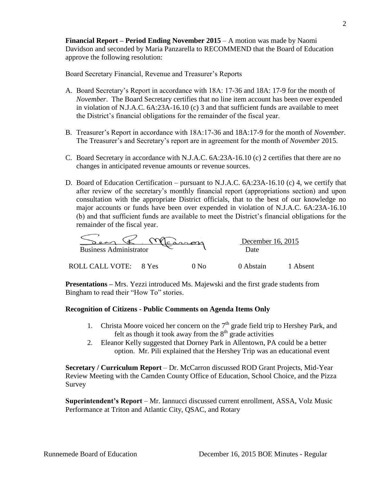**Financial Report – Period Ending November 2015** – A motion was made by Naomi Davidson and seconded by Maria Panzarella to RECOMMEND that the Board of Education approve the following resolution:

Board Secretary Financial, Revenue and Treasurer's Reports

- A. Board Secretary's Report in accordance with 18A: 17-36 and 18A: 17-9 for the month of *November*. The Board Secretary certifies that no line item account has been over expended in violation of N.J.A.C. 6A:23A-16.10 (c) 3 and that sufficient funds are available to meet the District's financial obligations for the remainder of the fiscal year.
- B. Treasurer's Report in accordance with 18A:17-36 and 18A:17-9 for the month of *November*. The Treasurer's and Secretary's report are in agreement for the month of *November* 2015.
- C. Board Secretary in accordance with N.J.A.C. 6A:23A-16.10 (c) 2 certifies that there are no changes in anticipated revenue amounts or revenue sources.
- D. Board of Education Certification pursuant to N.J.A.C. 6A:23A-16.10 (c) 4, we certify that after review of the secretary's monthly financial report (appropriations section) and upon consultation with the appropriate District officials, that to the best of our knowledge no major accounts or funds have been over expended in violation of N.J.A.C. 6A:23A-16.10 (b) and that sufficient funds are available to meet the District's financial obligations for the remainder of the fiscal year.

| $c$ annon                     |       |      | December 16, 2015 |          |
|-------------------------------|-------|------|-------------------|----------|
| <b>Business Administrator</b> |       |      | Date              |          |
| ROLL CALL VOTE:               | 8 Yes | ) N∩ | 0 Abstain         | 1 Absent |

**Presentations –** Mrs. Yezzi introduced Ms. Majewski and the first grade students from Bingham to read their "How To" stories.

#### **Recognition of Citizens - Public Comments on Agenda Items Only**

- 1. Christa Moore voiced her concern on the  $7<sup>th</sup>$  grade field trip to Hershey Park, and felt as though it took away from the  $8<sup>th</sup>$  grade activities
- 2. Eleanor Kelly suggested that Dorney Park in Allentown, PA could be a better option. Mr. Pili explained that the Hershey Trip was an educational event

**Secretary / Curriculum Report** – Dr. McCarron discussed ROD Grant Projects, Mid-Year Review Meeting with the Camden County Office of Education, School Choice, and the Pizza Survey

**Superintendent's Report** – Mr. Iannucci discussed current enrollment, ASSA, Volz Music Performance at Triton and Atlantic City, QSAC, and Rotary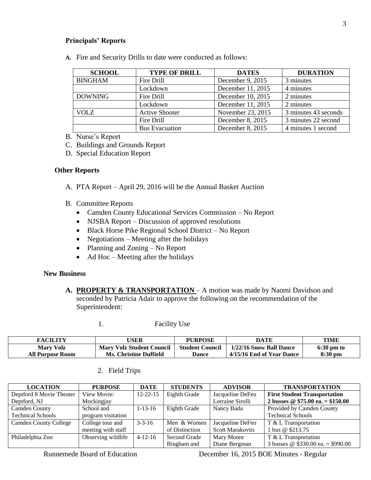#### **Principals' Reports**

**A.** Fire and Security Drills to date were conducted as follows:

| <b>SCHOOL</b>  | <b>TYPE OF DRILL</b>  | <b>DATES</b>      | <b>DURATION</b>      |
|----------------|-----------------------|-------------------|----------------------|
| <b>BINGHAM</b> | Fire Drill            | December 9, 2015  | 3 minutes            |
|                | Lockdown              | December 11, 2015 | 4 minutes            |
| <b>DOWNING</b> | Fire Drill            | December 10, 2015 | 2 minutes            |
|                | Lockdown              | December 11, 2015 | 2 minutes            |
| <b>VOLZ</b>    | <b>Active Shooter</b> | November 23, 2015 | 3 minutes 43 seconds |
|                | Fire Drill            | December 8, 2015  | 3 minutes 22 second  |
|                | <b>Bus Evacuation</b> | December 8, 2015  | 4 minutes 1 second   |

B. Nurse's Report

- C. Buildings and Grounds Report
- D. Special Education Report

#### **Other Reports**

- A. PTA Report April 29, 2016 will be the Annual Basket Auction
- B. Committee Reports
	- Camden County Educational Services Commission No Report
	- NJSBA Report Discussion of approved resolutions
	- Black Horse Pike Regional School District No Report
	- Negotiations Meeting after the holidays
	- Planning and Zoning No Report
	- $\bullet$  Ad Hoc Meeting after the holidays

#### **New Business**

**A. PROPERTY & TRANSPORTATION** – A motion was made by Naomi Davidson and seconded by Patricia Adair to approve the following on the recommendation of the Superintendent:

|  | <b>Facility Use</b> |
|--|---------------------|
|--|---------------------|

| <b>FACILITY</b>         | USER                             | <b>PURPOSE</b>         | DATE                      | <b>TIME</b>          |
|-------------------------|----------------------------------|------------------------|---------------------------|----------------------|
| <b>Mary Volz</b>        | <b>Mary Volz Student Council</b> | <b>Student Council</b> | 1/22/16 Snow Ball Dance   | $6:30 \text{ pm}$ to |
| <b>All Purpose Room</b> | <b>Ms. Christine Duffield</b>    | Dance                  | 4/15/16 End of Year Dance | $8:30$ pm            |

2. Field Trips

| <b>LOCATION</b>              | <b>PURPOSE</b>     | <b>DATE</b>    | <b>STUDENTS</b> | <b>ADVISOR</b>          | <b>TRANSPORTATION</b>                          |
|------------------------------|--------------------|----------------|-----------------|-------------------------|------------------------------------------------|
| Deptford 8 Movie Theater     | View Movie:        | $12 - 22 - 15$ | Eighth Grade    | Jacqueline DeFeo        | <b>First Student Transportation</b>            |
| Deptford, NJ                 | Mockingjay         |                |                 | Lorraine Sirolli        | 2 busses $\circledcirc$ \$75.00 ea. = \$150.00 |
| Camden County                | School and         | $1 - 13 - 16$  | Eighth Grade    | Nancy Bada              | Provided by Camden County                      |
| <b>Technical Schools</b>     | program visitation |                |                 |                         | <b>Technical Schools</b>                       |
| <b>Camden County College</b> | College tour and   | $3 - 3 - 16$   | Men & Women     | Jacqueline DeFeo        | $T < L$ Transportation                         |
|                              | meeting with staff |                | of Distinction  | <b>Scott Marakovits</b> | 1 bus @ \$213.75                               |
| Philadelphia Zoo             | Observing wildlife | $4 - 12 - 16$  | Second Grade    | Mary Moore              | T & L Transportation                           |
|                              |                    |                | Bingham and     | Diane Bergman           | 3 busses @ $$330.00$ ea. = \$990.00            |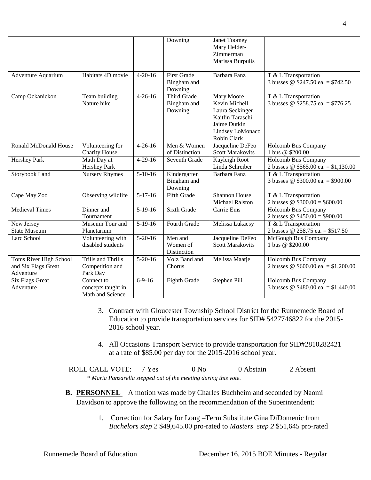|                        |                           |               | Downing            | Janet Toomey            |                                       |
|------------------------|---------------------------|---------------|--------------------|-------------------------|---------------------------------------|
|                        |                           |               |                    | Mary Helder-            |                                       |
|                        |                           |               |                    | Zimmerman               |                                       |
|                        |                           |               |                    | Marissa Burpulis        |                                       |
| Adventure Aquarium     | Habitats 4D movie         | $4 - 20 - 16$ | <b>First Grade</b> | Barbara Fanz            | T & L Transportation                  |
|                        |                           |               | Bingham and        |                         | 3 busses @ $$247.50$ ea. = \$742.50   |
|                        |                           |               | Downing            |                         |                                       |
| Camp Ockanickon        | Team building             | $4 - 26 - 16$ | Third Grade        | Mary Moore              | T & L Transportation                  |
|                        | Nature hike               |               | Bingham and        | Kevin Michell           | 3 busses @ \$258.75 ea. = \$776.25    |
|                        |                           |               | Downing            | Laura Seckinger         |                                       |
|                        |                           |               |                    | Kaitlin Taraschi        |                                       |
|                        |                           |               |                    | Jaime Dutkin            |                                       |
|                        |                           |               |                    | Lindsey LoMonaco        |                                       |
|                        |                           |               |                    | Robin Clark             |                                       |
| Ronald McDonald House  | Volunteering for          | $4 - 26 - 16$ | Men & Women        | Jacqueline DeFeo        | Holcomb Bus Company                   |
|                        | <b>Charity House</b>      |               | of Distinction     | <b>Scott Marakovits</b> | 1 bus @ \$200.00                      |
| <b>Hershey Park</b>    | Math Day at               | $4-29-16$     | Seventh Grade      | Kayleigh Root           | Holcomb Bus Company                   |
|                        | <b>Hershey Park</b>       |               |                    | Linda Schreiber         | 2 busses @ $$565.00$ ea. = \$1,130.00 |
| Storybook Land         | <b>Nursery Rhymes</b>     | $5-10-16$     | Kindergarten       | Barbara Fanz            | T & L Transportation                  |
|                        |                           |               | Bingham and        |                         | 3 busses @ \$300.00 ea. = \$900.00    |
|                        |                           |               | Downing            |                         |                                       |
| Cape May Zoo           | Observing wildlife        | $5-17-16$     | <b>Fifth Grade</b> | Shannon House           | T & L Transportation                  |
|                        |                           |               |                    | Michael Ralston         | 2 busses @ $$300.00 = $600.00$        |
| <b>Medieval Times</b>  | Dinner and                | $5-19-16$     | <b>Sixth Grade</b> | Carrie Ems              | Holcomb Bus Company                   |
|                        | Tournament                |               |                    |                         | 2 busses @ $$450.00 = $900.00$        |
| New Jersey             | Museum Tour and           | $5-19-16$     | Fourth Grade       | Melissa Lukacsy         | T & L Transportation                  |
| <b>State Museum</b>    | Planetarium               |               |                    |                         | 2 busses @ 258.75 ea. = \$517.50      |
| Larc School            | Volunteering with         | $5-20-16$     | Men and            | Jacqueline DeFeo        | McGough Bus Company                   |
|                        | disabled students         |               | Women of           | <b>Scott Marakovits</b> | 1 bus @ \$200.00                      |
|                        |                           |               | Distinction        |                         |                                       |
| Toms River High School | <b>Trills and Thrills</b> | $5 - 20 - 16$ | Volz Band and      | Melissa Maatje          | Holcomb Bus Company                   |
| and Six Flags Great    | Competition and           |               | Chorus             |                         | 2 busses @ $$600.00$ ea. = \$1,200.00 |
| Adventure              | Park Day                  |               |                    |                         |                                       |
| <b>Six Flags Great</b> | Connect to                | $6-9-16$      | Eighth Grade       | Stephen Pili            | Holcomb Bus Company                   |
| Adventure              | concepts taught in        |               |                    |                         | 3 busses @ $$480.00$ ea. = \$1,440.00 |
|                        | Math and Science          |               |                    |                         |                                       |

- 3. Contract with Gloucester Township School District for the Runnemede Board of Education to provide transportation services for SID# 5427746822 for the 2015- 2016 school year.
- 4. All Occasions Transport Service to provide transportation for SID#2810282421 at a rate of \$85.00 per day for the 2015-2016 school year.

ROLL CALL VOTE: 7 Yes 0 No 0 Abstain 2 Absent \* *Maria Panzarella stepped out of the meeting during this vote.*

- **B. PERSONNEL**  A motion was made by Charles Buchheim and seconded by Naomi Davidson to approve the following on the recommendation of the Superintendent:
	- 1. Correction for Salary for Long –Term Substitute Gina DiDomenic from *Bachelors step 2* \$49,645.00 pro-rated to *Masters step 2* \$51,645 pro-rated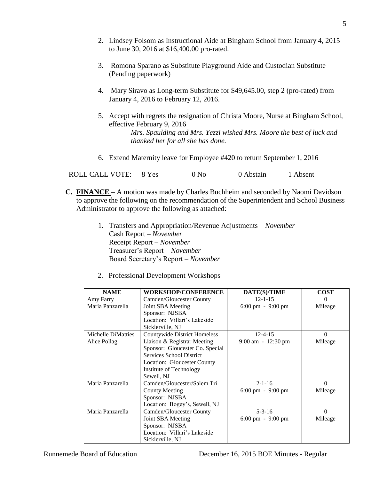- 2. Lindsey Folsom as Instructional Aide at Bingham School from January 4, 2015 to June 30, 2016 at \$16,400.00 pro-rated.
- 3. Romona Sparano as Substitute Playground Aide and Custodian Substitute (Pending paperwork)
- 4. Mary Siravo as Long-term Substitute for \$49,645.00, step 2 (pro-rated) from January 4, 2016 to February 12, 2016.
- 5. Accept with regrets the resignation of Christa Moore, Nurse at Bingham School, effective February 9, 2016 *Mrs. Spaulding and Mrs. Yezzi wished Mrs. Moore the best of luck and thanked her for all she has done.*
- 6. Extend Maternity leave for Employee #420 to return September 1, 2016

ROLL CALL VOTE: 8 Yes 0 No 0 Abstain 1 Absent

- **C. FINANCE**  A motion was made by Charles Buchheim and seconded by Naomi Davidson to approve the following on the recommendation of the Superintendent and School Business Administrator to approve the following as attached:
	- 1. Transfers and Appropriation/Revenue Adjustments *November* Cash Report – *November* Receipt Report – *November* Treasurer's Report – *November* Board Secretary's Report – *November*
	- 2. Professional Development Workshops

| <b>NAME</b>        | <b>WORKSHOP/CONFERENCE</b>      | DATE(S)/TIME                        | <b>COST</b> |
|--------------------|---------------------------------|-------------------------------------|-------------|
| Amy Farry          | Camden/Gloucester County        | $12 - 1 - 15$                       | $\Omega$    |
| Maria Panzarella   | Joint SBA Meeting               | $6:00 \text{ pm} - 9:00 \text{ pm}$ | Mileage     |
|                    | Sponsor: NJSBA                  |                                     |             |
|                    | Location: Villari's Lakeside    |                                     |             |
|                    | Sicklerville, NJ                |                                     |             |
| Michelle DiMatties | Countywide District Homeless    | $12 - 4 - 15$                       | $\Omega$    |
| Alice Pollag       | Liaison & Registrar Meeting     | $9:00$ am $-12:30$ pm               | Mileage     |
|                    | Sponsor: Gloucester Co. Special |                                     |             |
|                    | Services School District        |                                     |             |
|                    | Location: Gloucester County     |                                     |             |
|                    | Institute of Technology         |                                     |             |
|                    | Sewell, NJ                      |                                     |             |
| Maria Panzarella   | Camden/Gloucester/Salem Tri     | $2 - 1 - 16$                        | $\Omega$    |
|                    | <b>County Meeting</b>           | $6:00 \text{ pm} - 9:00 \text{ pm}$ | Mileage     |
|                    | Sponsor: NJSBA                  |                                     |             |
|                    | Location: Bogey's, Sewell, NJ   |                                     |             |
| Maria Panzarella   | Camden/Gloucester County        | $5 - 3 - 16$                        | $\Omega$    |
|                    | Joint SBA Meeting               | $6:00 \text{ pm} - 9:00 \text{ pm}$ | Mileage     |
|                    | Sponsor: NJSBA                  |                                     |             |
|                    | Location: Villari's Lakeside    |                                     |             |
|                    | Sicklerville, NJ                |                                     |             |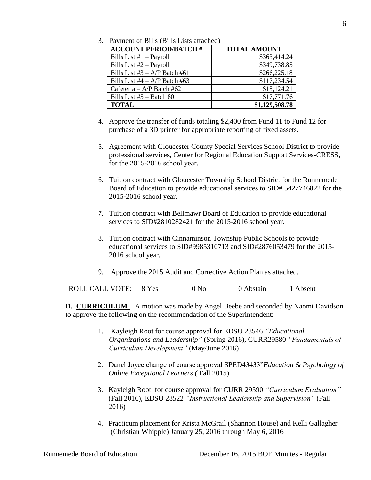| 3. Payment of Bills (Bills Lists attached) |
|--------------------------------------------|
|--------------------------------------------|

| <b>ACCOUNT PERIOD/BATCH #</b>     | <b>TOTAL AMOUNT</b> |
|-----------------------------------|---------------------|
| Bills List #1 - Payroll           | \$363,414.24        |
| Bills List #2 - Payroll           | \$349,738.85        |
| Bills List $#3 - A/P$ Batch $#61$ | \$266,225.18        |
| Bills List #4 $- A/P$ Batch #63   | \$117,234.54        |
| Cafeteria – A/P Batch #62         | \$15,124.21         |
| Bills List $#5 -$ Batch 80        | \$17,771.76         |
| <b>TOTAL</b>                      | \$1,129,508.78      |

- 4. Approve the transfer of funds totaling \$2,400 from Fund 11 to Fund 12 for purchase of a 3D printer for appropriate reporting of fixed assets.
- 5. Agreement with Gloucester County Special Services School District to provide professional services, Center for Regional Education Support Services-CRESS, for the 2015-2016 school year.
- 6. Tuition contract with Gloucester Township School District for the Runnemede Board of Education to provide educational services to SID# 5427746822 for the 2015-2016 school year.
- 7. Tuition contract with Bellmawr Board of Education to provide educational services to SID#2810282421 for the 2015-2016 school year.
- 8. Tuition contract with Cinnaminson Township Public Schools to provide educational services to SID#9985310713 and SID#2876053479 for the 2015- 2016 school year.
- 9. Approve the 2015 Audit and Corrective Action Plan as attached.

ROLL CALL VOTE: 8 Yes 0 No 0 Abstain 1 Absent

**D. CURRICULUM** – A motion was made by Angel Beebe and seconded by Naomi Davidson to approve the following on the recommendation of the Superintendent:

- 1. Kayleigh Root for course approval for EDSU 28546 *"Educational Organizations and Leadership"* (Spring 2016), CURR29580 *"Fundamentals of Curriculum Development"* (May/June 2016)
- 2. Danel Joyce change of course approval SPED43433"*Education & Psychology of Online Exceptional Learners (* Fall 2015)
- 3. Kayleigh Root for course approval for CURR 29590 *"Curriculum Evaluation"* (Fall 2016), EDSU 28522 *"Instructional Leadership and Supervision"* (Fall 2016)
- 4. Practicum placement for Krista McGrail (Shannon House) and Kelli Gallagher (Christian Whipple) January 25, 2016 through May 6, 2016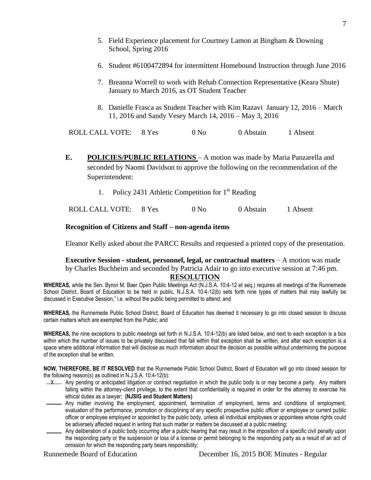- 5. Field Experience placement for Courtney Lamon at Bingham & Downing School, Spring 2016
- 6. Student #6100472894 for intermittent Homebound Instruction through June 2016
- 7. Breanna Worrell to work with Rehab Connection Representative (Keara Shute) January to March 2016, as OT Student Teacher
- 8. Danielle Frasca as Student Teacher with Kim Razavi January 12, 2016 March 11, 2016 and Sandy Vesey March 14, 2016 – May 3, 2016

ROLL CALL VOTE: 8 Yes 0 No 0 Abstain 1 Absent

- **E. POLICIES/PUBLIC RELATIONS**  A motion was made by Maria Panzarella and seconded by Naomi Davidson to approve the following on the recommendation of the Superintendent:
	- 1. Policy 2431 Athletic Competition for  $1<sup>st</sup>$  Reading

ROLL CALL VOTE: 8 Yes 0 No 0 Abstain 1 Absent

#### **Recognition of Citizens and Staff – non-agenda items**

Eleanor Kelly asked about the PARCC Results and requested a printed copy of the presentation.

# **Executive Session - student, personnel, legal, or contractual matters** – A motion was made by Charles Buchheim and seconded by Patricia Adair to go into executive session at 7:46 pm.

### **RESOLUTION**

**WHEREAS,** while the Sen. Byron M. Baer Open Public Meetings Act (N.J.S.A. 10:4-12 et seq.) requires all meetings of the Runnemede School District, Board of Education to be held in public, N.J.S.A. 10:4-12(b) sets forth nine types of matters that may lawfully be discussed in Executive Session," i.e. without the public being permitted to attend; and

**WHEREAS,** the Runnemede Public School District, Board of Education has deemed it necessary to go into closed session to discuss certain matters which are exempted from the Public; and

**WHEREAS,** the nine exceptions to public meetings set forth in N.J.S.A. 10:4-12(b) are listed below, and next to each exception is a box within which the number of issues to be privately discussed that fall within that exception shall be written, and after each exception is a space where additional information that will disclose as much information about the decision as possible without undermining the purpose of the exception shall be written.

**NOW, THEREFORE, BE IT RESOLVED** that the Runnemede Public School District, Board of Education will go into closed session for the following reason(s) as outlined in N.J.S.A. 10:4-12(b):

- $\perp \times$  Any pending or anticipated litigation or contract negotiation in which the public body is or may become a party. Any matters falling within the attorney-client privilege, to the extent that confidentiality is required in order for the attorney to exercise his ethical duties as a lawyer; **(NJSIG and Student Matters)**
- Any matter involving the employment, appointment, termination of employment, terms and conditions of employment, evaluation of the performance, promotion or disciplining of any specific prospective public officer or employee or current public officer or employee employed or appointed by the public body, unless all individual employees or appointees whose rights could be adversely affected request in writing that such matter or matters be discussed at a public meeting;
- Any deliberation of a public body occurring after a public hearing that may result in the imposition of a specific civil penalty upon the responding party or the suspension or loss of a license or permit belonging to the responding party as a result of an act of omission for which the responding party bears responsibility;